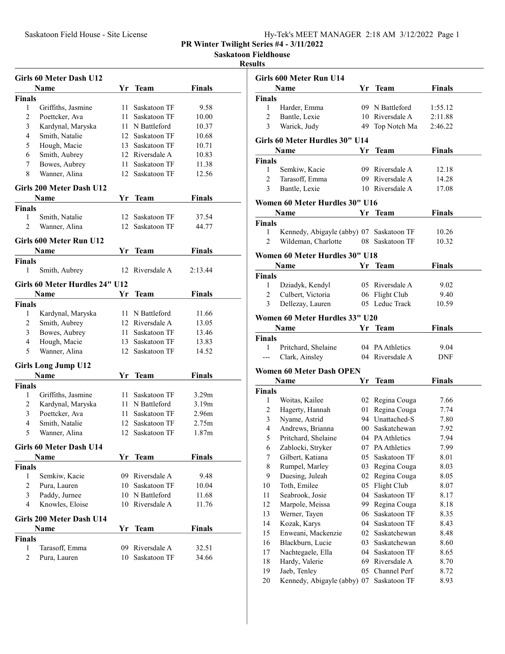## Saskatoon Fieldhouse

## Results

|                | <b>Girls 60 Meter Dash U12</b> |                 |                 |               |  |
|----------------|--------------------------------|-----------------|-----------------|---------------|--|
|                | Name                           | Yr              | <b>Team</b>     | <b>Finals</b> |  |
| <b>Finals</b>  |                                |                 |                 |               |  |
| 1              | Griffiths, Jasmine             | 11.             | Saskatoon TF    | 9.58          |  |
| $\overline{2}$ | Poettcker, Ava                 | 11              | Saskatoon TF    | 10.00         |  |
| 3              | Kardynal, Maryska              | 11.             | N Battleford    | 10.37         |  |
| $\overline{4}$ | Smith, Natalie                 | 12              | Saskatoon TF    | 10.68         |  |
| 5              | Hough, Macie                   | 13              | Saskatoon TF    | 10.71         |  |
| 6              | Smith, Aubrey                  |                 | 12 Riversdale A | 10.83         |  |
| 7              | Bowes, Aubrey                  | 11.             | Saskatoon TF    | 11.38         |  |
| 8              | Wanner, Alina                  | 12              | Saskatoon TF    | 12.56         |  |
|                | Girls 200 Meter Dash U12       |                 |                 |               |  |
|                | Name                           |                 | Yr Team         | Finals        |  |
| <b>Finals</b>  |                                |                 |                 |               |  |
| 1              | Smith, Natalie                 | 12              | Saskatoon TF    | 37.54         |  |
| $\overline{c}$ | Wanner, Alina                  | 12 <sup>1</sup> | Saskatoon TF    | 44.77         |  |
|                | Girls 600 Meter Run U12        |                 |                 |               |  |
|                | Name                           | Yr              | <b>Team</b>     | Finals        |  |
| <b>Finals</b>  |                                |                 |                 |               |  |
| 1              | Smith, Aubrey                  | 12              | Riversdale A    | 2:13.44       |  |
|                | Girls 60 Meter Hurdles 24" U12 |                 |                 |               |  |
|                | Name                           | Υr              | <b>Team</b>     | Finals        |  |
| <b>Finals</b>  |                                |                 |                 |               |  |
| 1              | Kardynal, Maryska              |                 | 11 N Battleford | 11.66         |  |
| 2              | Smith, Aubrey                  |                 | 12 Riversdale A | 13.05         |  |
| 3              | Bowes, Aubrey                  | 11 -            | Saskatoon TF    | 13.46         |  |
| 4              | Hough, Macie                   | 13              | Saskatoon TF    | 13.83         |  |
| 5              | Wanner, Alina                  | 12              | Saskatoon TF    | 14.52         |  |
|                | <b>Girls Long Jump U12</b>     |                 |                 |               |  |
|                | Name                           | Yr              | <b>Team</b>     | Finals        |  |
| <b>Finals</b>  |                                |                 |                 |               |  |
| 1              | Griffiths, Jasmine             | 11.             | Saskatoon TF    | 3.29m         |  |
| $\overline{c}$ | Kardynal, Maryska              | 11 -            | N Battleford    | 3.19m         |  |
| 3              | Poettcker, Ava                 | 11              | Saskatoon TF    | 2.96m         |  |
| 4              | Smith, Natalie                 | 12              | Saskatoon TF    | 2.75m         |  |
| 5              | Wanner, Alina                  | 12              | Saskatoon TF    | 1.87m         |  |
|                | <b>Girls 60 Meter Dash U14</b> |                 |                 |               |  |
|                | Name                           | Yr              | Team            | <b>Finals</b> |  |
| <b>Finals</b>  |                                |                 |                 |               |  |
| 1              | Semkiw, Kacie                  | 09.             | Riversdale A    | 9.48          |  |
| $\overline{c}$ | Pura, Lauren                   | 10              | Saskatoon TF    | 10.04         |  |
| 3              | Paddy, Jurnee                  | 10              | N Battleford    | 11.68         |  |
| $\overline{4}$ | Knowles, Eloise                | 10              | Riversdale A    | 11.76         |  |
|                | Girls 200 Meter Dash U14       |                 |                 |               |  |
|                | Name                           | Yr              | Team            | Finals        |  |
| <b>Finals</b>  |                                |                 |                 |               |  |
| 1              | Tarasoff, Emma                 |                 | 09 Riversdale A | 32.51         |  |
| $\overline{2}$ | Pura, Lauren                   | 10              | Saskatoon TF    | 34.66         |  |
|                |                                |                 |                 |               |  |

|                  | Girls 600 Meter Run U14                  |    |                                  |               |  |
|------------------|------------------------------------------|----|----------------------------------|---------------|--|
|                  | Name                                     | Yr | <b>Team</b>                      | <b>Finals</b> |  |
| Finals           |                                          |    |                                  |               |  |
| 1                | Harder, Emma                             |    | 09 N Battleford                  | 1:55.12       |  |
| $\overline{c}$   | Bantle, Lexie                            |    | 10 Riversdale A                  | 2:11.88       |  |
| 3                | Warick, Judy                             |    | 49 Top Notch Ma                  | 2:46.22       |  |
|                  | Girls 60 Meter Hurdles 30" U14           |    |                                  |               |  |
|                  | Name                                     | Yr | <b>Team</b>                      | <b>Finals</b> |  |
| Finals           |                                          |    |                                  |               |  |
| 1                | Semkiw, Kacie                            |    | 09 Riversdale A                  | 12.18         |  |
| $\overline{2}$   | Tarasoff, Emma                           |    | 09 Riversdale A                  | 14.28         |  |
| 3                | Bantle, Lexie                            |    | 10 Riversdale A                  | 17.08         |  |
|                  | Women 60 Meter Hurdles 30" U16           |    |                                  |               |  |
|                  | <b>Name</b>                              |    | Yr Team                          | <b>Finals</b> |  |
| Finals           |                                          |    |                                  |               |  |
| 1                | Kennedy, Abigayle (abby) 07 Saskatoon TF |    |                                  | 10.26         |  |
| 2                | Wildeman, Charlotte                      |    | 08 Saskatoon TF                  | 10.32         |  |
|                  |                                          |    |                                  |               |  |
|                  | Women 60 Meter Hurdles 30" U18           |    |                                  |               |  |
|                  | <b>Name</b>                              |    | Yr Team                          | <b>Finals</b> |  |
| Finals           |                                          |    |                                  |               |  |
| 1                | Dziadyk, Kendyl                          |    | 05 Riversdale A                  | 9.02          |  |
| 2                | Culbert, Victoria                        |    | 06 Flight Club<br>05 Leduc Track | 9.40          |  |
| 3                | Dellezay, Lauren                         |    |                                  | 10.59         |  |
|                  | Women 60 Meter Hurdles 33" U20           |    |                                  |               |  |
|                  | Name                                     |    | Yr Team                          | <b>Finals</b> |  |
| Finals           |                                          |    |                                  |               |  |
| 1                | Pritchard, Shelaine                      |    | 04 PA Athletics                  | 9.04          |  |
| ---              | Clark, Ainsley                           |    | 04 Riversdale A                  | DNF           |  |
|                  | <b>Women 60 Meter Dash OPEN</b>          |    |                                  |               |  |
|                  | Name                                     | Yr | Team                             | <b>Finals</b> |  |
| Finals           |                                          |    |                                  |               |  |
| 1                | Woitas, Kailee                           |    | 02 Regina Couga                  | 7.66          |  |
| 2                | Hagerty, Hannah                          |    | 01 Regina Couga                  | 7.74          |  |
| 3                | Nyame, Astrid                            |    | 94 Unattached-S                  | 7.80          |  |
| $\overline{4}$   | Andrews, Brianna                         |    | 00 Saskatchewan                  | 7.92          |  |
| 5                | Pritchard, Shelaine                      |    | 04 PA Athletics                  | 7.94          |  |
| 6                | Zablocki, Stryker                        |    | 07 PA Athletics                  | 7.99          |  |
| $\boldsymbol{7}$ | Gilbert, Katiana                         | 05 | Saskatoon TF                     | 8.01          |  |
| 8                | Rumpel, Marley                           | 03 | Regina Couga                     | 8.03          |  |
| 9                | Duesing, Juleah                          | 02 | Regina Couga                     | 8.05          |  |
| 10               | Toth, Emilee                             | 05 | Flight Club                      | 8.07          |  |
| 11               | Seabrook, Josie                          | 04 | Saskatoon TF                     | 8.17          |  |
| 12               | Marpole, Meissa                          | 99 | Regina Couga                     | 8.18          |  |
| 13               | Werner, Tayen                            | 06 | Saskatoon TF                     | 8.35          |  |
| 14               | Kozak, Karys                             | 04 | Saskatoon TF                     | 8.43          |  |
| 15               | Enweani, Mackenzie                       | 02 | Saskatchewan                     | 8.48          |  |
| 16               | Blackburn, Lucie                         | 03 | Saskatchewan                     | 8.60          |  |
| 17<br>18         | Nachtegaele, Ella<br>Hardy, Valerie      | 04 | Saskatoon TF<br>69 Riversdale A  | 8.65<br>8.70  |  |
| 19               | Jaeb, Tenley                             |    | 05 Channel Perf                  | 8.72          |  |
|                  |                                          |    |                                  |               |  |
| 20               | Kennedy, Abigayle (abby) 07              |    | Saskatoon TF                     | 8.93          |  |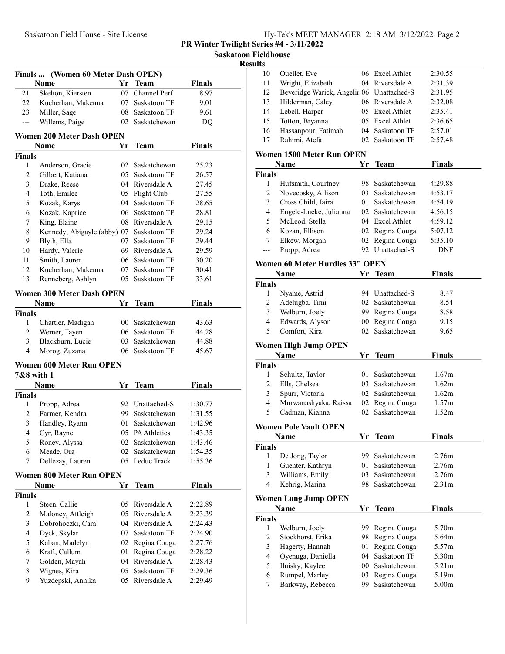Saskatoon Fieldhouse

sults and the contract of the contract of the contract of the contract of the contract of the contract of the contract of the contract of the contract of the contract of the contract of the contract of the contract of the

| (Women 60 Meter Dash OPEN)<br>Finals<br>Name<br>Skelton, Kiersten<br>Kucherhan, Makenna<br>Miller, Sage<br>Willems, Paige<br>Women 200 Meter Dash OPEN<br>Name<br>Anderson, Gracie<br>Gilbert, Katiana<br>Drake, Reese<br>Toth, Emilee<br>Kozak, Karys<br>Kozak, Kaprice<br>King, Elaine | Yr<br>07<br>07<br>08<br>02<br>Yr.<br>02                                                                                                                                                                                                                                                                                                                                                     | <b>Team</b><br>Channel Perf<br>Saskatoon TF<br>Saskatoon TF<br>Saskatchewan<br>Team<br>Saskatchewan<br>05 Saskatoon TF  | <b>Finals</b><br>8.97<br>9.01<br>9.61<br>D <sub>O</sub><br><b>Finals</b><br>25.23                                                                                                                                                                                                                                         |                                                                                                                                                         |
|------------------------------------------------------------------------------------------------------------------------------------------------------------------------------------------------------------------------------------------------------------------------------------------|---------------------------------------------------------------------------------------------------------------------------------------------------------------------------------------------------------------------------------------------------------------------------------------------------------------------------------------------------------------------------------------------|-------------------------------------------------------------------------------------------------------------------------|---------------------------------------------------------------------------------------------------------------------------------------------------------------------------------------------------------------------------------------------------------------------------------------------------------------------------|---------------------------------------------------------------------------------------------------------------------------------------------------------|
|                                                                                                                                                                                                                                                                                          |                                                                                                                                                                                                                                                                                                                                                                                             |                                                                                                                         |                                                                                                                                                                                                                                                                                                                           |                                                                                                                                                         |
|                                                                                                                                                                                                                                                                                          |                                                                                                                                                                                                                                                                                                                                                                                             |                                                                                                                         |                                                                                                                                                                                                                                                                                                                           |                                                                                                                                                         |
|                                                                                                                                                                                                                                                                                          |                                                                                                                                                                                                                                                                                                                                                                                             |                                                                                                                         |                                                                                                                                                                                                                                                                                                                           |                                                                                                                                                         |
|                                                                                                                                                                                                                                                                                          |                                                                                                                                                                                                                                                                                                                                                                                             |                                                                                                                         |                                                                                                                                                                                                                                                                                                                           |                                                                                                                                                         |
|                                                                                                                                                                                                                                                                                          |                                                                                                                                                                                                                                                                                                                                                                                             |                                                                                                                         |                                                                                                                                                                                                                                                                                                                           |                                                                                                                                                         |
|                                                                                                                                                                                                                                                                                          |                                                                                                                                                                                                                                                                                                                                                                                             |                                                                                                                         |                                                                                                                                                                                                                                                                                                                           |                                                                                                                                                         |
|                                                                                                                                                                                                                                                                                          |                                                                                                                                                                                                                                                                                                                                                                                             |                                                                                                                         |                                                                                                                                                                                                                                                                                                                           |                                                                                                                                                         |
|                                                                                                                                                                                                                                                                                          |                                                                                                                                                                                                                                                                                                                                                                                             |                                                                                                                         |                                                                                                                                                                                                                                                                                                                           |                                                                                                                                                         |
|                                                                                                                                                                                                                                                                                          |                                                                                                                                                                                                                                                                                                                                                                                             |                                                                                                                         |                                                                                                                                                                                                                                                                                                                           |                                                                                                                                                         |
|                                                                                                                                                                                                                                                                                          |                                                                                                                                                                                                                                                                                                                                                                                             |                                                                                                                         |                                                                                                                                                                                                                                                                                                                           |                                                                                                                                                         |
|                                                                                                                                                                                                                                                                                          |                                                                                                                                                                                                                                                                                                                                                                                             |                                                                                                                         | 26.57                                                                                                                                                                                                                                                                                                                     |                                                                                                                                                         |
|                                                                                                                                                                                                                                                                                          |                                                                                                                                                                                                                                                                                                                                                                                             | 04 Riversdale A                                                                                                         | 27.45                                                                                                                                                                                                                                                                                                                     |                                                                                                                                                         |
|                                                                                                                                                                                                                                                                                          |                                                                                                                                                                                                                                                                                                                                                                                             | 05 Flight Club                                                                                                          | 27.55                                                                                                                                                                                                                                                                                                                     |                                                                                                                                                         |
|                                                                                                                                                                                                                                                                                          |                                                                                                                                                                                                                                                                                                                                                                                             | 04 Saskatoon TF                                                                                                         | 28.65                                                                                                                                                                                                                                                                                                                     |                                                                                                                                                         |
|                                                                                                                                                                                                                                                                                          |                                                                                                                                                                                                                                                                                                                                                                                             | 06 Saskatoon TF                                                                                                         | 28.81                                                                                                                                                                                                                                                                                                                     |                                                                                                                                                         |
|                                                                                                                                                                                                                                                                                          |                                                                                                                                                                                                                                                                                                                                                                                             | 08 Riversdale A                                                                                                         | 29.15                                                                                                                                                                                                                                                                                                                     |                                                                                                                                                         |
| Kennedy, Abigayle (abby) 07                                                                                                                                                                                                                                                              |                                                                                                                                                                                                                                                                                                                                                                                             | Saskatoon TF                                                                                                            | 29.24                                                                                                                                                                                                                                                                                                                     |                                                                                                                                                         |
| Blyth, Ella                                                                                                                                                                                                                                                                              | 07                                                                                                                                                                                                                                                                                                                                                                                          | Saskatoon TF                                                                                                            | 29.44                                                                                                                                                                                                                                                                                                                     |                                                                                                                                                         |
| Hardy, Valerie                                                                                                                                                                                                                                                                           |                                                                                                                                                                                                                                                                                                                                                                                             | 69 Riversdale A                                                                                                         | 29.59                                                                                                                                                                                                                                                                                                                     |                                                                                                                                                         |
| Smith, Lauren                                                                                                                                                                                                                                                                            | 06                                                                                                                                                                                                                                                                                                                                                                                          | Saskatoon TF                                                                                                            | 30.20                                                                                                                                                                                                                                                                                                                     |                                                                                                                                                         |
|                                                                                                                                                                                                                                                                                          |                                                                                                                                                                                                                                                                                                                                                                                             | Saskatoon TF                                                                                                            | 30.41                                                                                                                                                                                                                                                                                                                     |                                                                                                                                                         |
|                                                                                                                                                                                                                                                                                          |                                                                                                                                                                                                                                                                                                                                                                                             | Saskatoon TF                                                                                                            | 33.61                                                                                                                                                                                                                                                                                                                     |                                                                                                                                                         |
|                                                                                                                                                                                                                                                                                          |                                                                                                                                                                                                                                                                                                                                                                                             |                                                                                                                         |                                                                                                                                                                                                                                                                                                                           |                                                                                                                                                         |
|                                                                                                                                                                                                                                                                                          |                                                                                                                                                                                                                                                                                                                                                                                             |                                                                                                                         |                                                                                                                                                                                                                                                                                                                           |                                                                                                                                                         |
|                                                                                                                                                                                                                                                                                          |                                                                                                                                                                                                                                                                                                                                                                                             |                                                                                                                         |                                                                                                                                                                                                                                                                                                                           |                                                                                                                                                         |
|                                                                                                                                                                                                                                                                                          |                                                                                                                                                                                                                                                                                                                                                                                             |                                                                                                                         |                                                                                                                                                                                                                                                                                                                           |                                                                                                                                                         |
|                                                                                                                                                                                                                                                                                          |                                                                                                                                                                                                                                                                                                                                                                                             |                                                                                                                         |                                                                                                                                                                                                                                                                                                                           |                                                                                                                                                         |
|                                                                                                                                                                                                                                                                                          |                                                                                                                                                                                                                                                                                                                                                                                             |                                                                                                                         |                                                                                                                                                                                                                                                                                                                           |                                                                                                                                                         |
|                                                                                                                                                                                                                                                                                          |                                                                                                                                                                                                                                                                                                                                                                                             |                                                                                                                         |                                                                                                                                                                                                                                                                                                                           |                                                                                                                                                         |
|                                                                                                                                                                                                                                                                                          |                                                                                                                                                                                                                                                                                                                                                                                             |                                                                                                                         |                                                                                                                                                                                                                                                                                                                           |                                                                                                                                                         |
|                                                                                                                                                                                                                                                                                          |                                                                                                                                                                                                                                                                                                                                                                                             |                                                                                                                         |                                                                                                                                                                                                                                                                                                                           |                                                                                                                                                         |
|                                                                                                                                                                                                                                                                                          |                                                                                                                                                                                                                                                                                                                                                                                             |                                                                                                                         |                                                                                                                                                                                                                                                                                                                           |                                                                                                                                                         |
|                                                                                                                                                                                                                                                                                          |                                                                                                                                                                                                                                                                                                                                                                                             |                                                                                                                         |                                                                                                                                                                                                                                                                                                                           |                                                                                                                                                         |
|                                                                                                                                                                                                                                                                                          |                                                                                                                                                                                                                                                                                                                                                                                             |                                                                                                                         |                                                                                                                                                                                                                                                                                                                           |                                                                                                                                                         |
|                                                                                                                                                                                                                                                                                          |                                                                                                                                                                                                                                                                                                                                                                                             |                                                                                                                         |                                                                                                                                                                                                                                                                                                                           |                                                                                                                                                         |
|                                                                                                                                                                                                                                                                                          |                                                                                                                                                                                                                                                                                                                                                                                             |                                                                                                                         |                                                                                                                                                                                                                                                                                                                           |                                                                                                                                                         |
|                                                                                                                                                                                                                                                                                          |                                                                                                                                                                                                                                                                                                                                                                                             |                                                                                                                         |                                                                                                                                                                                                                                                                                                                           |                                                                                                                                                         |
|                                                                                                                                                                                                                                                                                          |                                                                                                                                                                                                                                                                                                                                                                                             |                                                                                                                         |                                                                                                                                                                                                                                                                                                                           |                                                                                                                                                         |
|                                                                                                                                                                                                                                                                                          |                                                                                                                                                                                                                                                                                                                                                                                             |                                                                                                                         |                                                                                                                                                                                                                                                                                                                           |                                                                                                                                                         |
|                                                                                                                                                                                                                                                                                          |                                                                                                                                                                                                                                                                                                                                                                                             |                                                                                                                         |                                                                                                                                                                                                                                                                                                                           |                                                                                                                                                         |
|                                                                                                                                                                                                                                                                                          |                                                                                                                                                                                                                                                                                                                                                                                             |                                                                                                                         |                                                                                                                                                                                                                                                                                                                           |                                                                                                                                                         |
|                                                                                                                                                                                                                                                                                          |                                                                                                                                                                                                                                                                                                                                                                                             |                                                                                                                         |                                                                                                                                                                                                                                                                                                                           |                                                                                                                                                         |
|                                                                                                                                                                                                                                                                                          | Yr                                                                                                                                                                                                                                                                                                                                                                                          | <b>Team</b>                                                                                                             | <b>Finals</b>                                                                                                                                                                                                                                                                                                             |                                                                                                                                                         |
|                                                                                                                                                                                                                                                                                          |                                                                                                                                                                                                                                                                                                                                                                                             |                                                                                                                         |                                                                                                                                                                                                                                                                                                                           |                                                                                                                                                         |
|                                                                                                                                                                                                                                                                                          | 05                                                                                                                                                                                                                                                                                                                                                                                          | Riversdale A                                                                                                            | 2:22.89                                                                                                                                                                                                                                                                                                                   |                                                                                                                                                         |
|                                                                                                                                                                                                                                                                                          |                                                                                                                                                                                                                                                                                                                                                                                             | Riversdale A                                                                                                            | 2:23.39                                                                                                                                                                                                                                                                                                                   |                                                                                                                                                         |
|                                                                                                                                                                                                                                                                                          |                                                                                                                                                                                                                                                                                                                                                                                             | Riversdale A                                                                                                            | 2:24.43                                                                                                                                                                                                                                                                                                                   |                                                                                                                                                         |
|                                                                                                                                                                                                                                                                                          |                                                                                                                                                                                                                                                                                                                                                                                             | Saskatoon TF                                                                                                            | 2:24.90                                                                                                                                                                                                                                                                                                                   |                                                                                                                                                         |
|                                                                                                                                                                                                                                                                                          |                                                                                                                                                                                                                                                                                                                                                                                             |                                                                                                                         |                                                                                                                                                                                                                                                                                                                           |                                                                                                                                                         |
|                                                                                                                                                                                                                                                                                          | 01                                                                                                                                                                                                                                                                                                                                                                                          |                                                                                                                         |                                                                                                                                                                                                                                                                                                                           |                                                                                                                                                         |
| Golden, Mayah                                                                                                                                                                                                                                                                            | 04                                                                                                                                                                                                                                                                                                                                                                                          | Riversdale A                                                                                                            | 2:28.43                                                                                                                                                                                                                                                                                                                   |                                                                                                                                                         |
| Wignes, Kira                                                                                                                                                                                                                                                                             | 05                                                                                                                                                                                                                                                                                                                                                                                          | Saskatoon TF                                                                                                            | 2:29.36                                                                                                                                                                                                                                                                                                                   |                                                                                                                                                         |
|                                                                                                                                                                                                                                                                                          |                                                                                                                                                                                                                                                                                                                                                                                             |                                                                                                                         |                                                                                                                                                                                                                                                                                                                           |                                                                                                                                                         |
|                                                                                                                                                                                                                                                                                          | Kucherhan, Makenna<br>Renneberg, Ashlyn<br>Name<br>Chartier, Madigan<br>Werner, Tayen<br>Blackburn, Lucie<br>Morog, Zuzana<br>7&8 with 1<br>Name<br>Propp, Adrea<br>Farmer, Kendra<br>Handley, Ryann<br>Cyr, Rayne<br>Roney, Alyssa<br>Meade, Ora<br>Dellezay, Lauren<br>Name<br>Steen, Callie<br>Maloney, Attleigh<br>Dobrohoczki, Cara<br>Dyck, Skylar<br>Kaban, Madelyn<br>Kraft, Callum | <b>Women 300 Meter Dash OPEN</b><br>Yr<br><b>Women 600 Meter Run OPEN</b><br>01<br>05<br>02<br>Women 800 Meter Run OPEN | 07<br>05.<br><b>Team</b><br>00 Saskatchewan<br>06 Saskatoon TF<br>Saskatchewan<br>03<br>06<br>Saskatoon TF<br>Yr<br><b>Team</b><br>92 Unattached-S<br>99.<br>Saskatchewan<br>Saskatchewan<br>PA Athletics<br>Saskatchewan<br>02<br>Saskatchewan<br>05 Leduc Track<br>05<br>04<br>07<br>Regina Couga<br>02<br>Regina Couga | Finals<br>43.63<br>44.28<br>44.88<br>45.67<br>Finals<br>1:30.77<br>1:31.55<br>1:42.96<br>1:43.35<br>1:43.46<br>1:54.35<br>1:55.36<br>2:27.76<br>2:28.22 |

| 10                           | Ouellet, Eve                              |              | 06 Excel Athlet              | 2:30.55                    |  |
|------------------------------|-------------------------------------------|--------------|------------------------------|----------------------------|--|
| 11                           | Wright, Elizabeth                         |              | 04 Riversdale A              | 2:31.39                    |  |
| 12                           | Beveridge Warick, Angelir 06 Unattached-S |              |                              | 2:31.95                    |  |
| 13                           | Hilderman, Caley                          |              | 06 Riversdale A              | 2:32.08                    |  |
| 14                           | Lebell, Harper                            |              | 05 Excel Athlet              | 2:35.41                    |  |
| 15                           | Totton, Bryanna                           |              | 05 Excel Athlet              | 2:36.65                    |  |
| 16                           | Hassanpour, Fatimah                       |              | 04 Saskatoon TF              | 2:57.01                    |  |
| 17                           | Rahimi, Atefa                             | 02           | Saskatoon TF                 | 2:57.48                    |  |
|                              | Women 1500 Meter Run OPEN                 |              |                              |                            |  |
|                              | Name                                      | Yr           | Team                         | <b>Finals</b>              |  |
| <b>Finals</b>                |                                           |              |                              |                            |  |
| 1                            | Hufsmith, Courtney                        |              | 98 Saskatchewan              | 4:29.88                    |  |
| $\mathbf{2}$                 | Novecosky, Allison                        |              | 03 Saskatchewan              | 4:53.17                    |  |
| 3                            | Cross Child, Jaira                        | 01           | Saskatchewan                 | 4:54.19                    |  |
| 4                            | Engele-Lueke, Julianna                    |              | 02 Saskatchewan              | 4:56.15                    |  |
| 5                            | McLeod, Stella                            |              | 04 Excel Athlet              | 4:59.12                    |  |
| 6                            | Kozan, Ellison                            |              | 02 Regina Couga              | 5:07.12                    |  |
| 7                            | Elkew, Morgan                             | 02           | Regina Couga                 | 5:35.10                    |  |
| $---$                        | Propp, Adrea                              |              | 92 Unattached-S              | DNF                        |  |
|                              |                                           |              |                              |                            |  |
|                              | Women 60 Meter Hurdles 33" OPEN           |              |                              |                            |  |
|                              | Name                                      | Yr           | <b>Team</b>                  | <b>Finals</b>              |  |
| <b>Finals</b>                |                                           |              |                              |                            |  |
| 1                            | Nyame, Astrid                             |              | 94 Unattached-S              | 8.47                       |  |
| 2                            | Adelugba, Timi                            | 02           | Saskatchewan                 | 8.54                       |  |
| $\overline{\mathbf{3}}$      | Welburn, Joely                            | 99.          | Regina Couga                 | 8.58                       |  |
| $\overline{\mathbf{4}}$<br>5 | Edwards, Alyson                           | $00\,$<br>02 | Regina Couga<br>Saskatchewan | 9.15                       |  |
|                              | Comfort, Kira                             |              |                              | 9.65                       |  |
|                              |                                           |              |                              |                            |  |
|                              | <b>Women High Jump OPEN</b>               |              |                              |                            |  |
|                              | <b>Name</b>                               | Yr           | <b>Team</b>                  | <b>Finals</b>              |  |
| <b>Finals</b>                |                                           |              |                              |                            |  |
| 1                            | Schultz, Taylor                           | 01           | Saskatchewan                 | 1.67m                      |  |
| $\overline{c}$               | Ells, Chelsea                             | 03           | Saskatchewan                 | 1.62m                      |  |
| 3                            | Spurr, Victoria                           | 02           | Saskatchewan                 | 1.62m                      |  |
| 4                            | Murwanashyaka, Raissa                     | 02           | Regina Couga                 | 1.57m                      |  |
| 5                            | Cadman, Kianna                            | 02           | Saskatchewan                 | 1.52m                      |  |
|                              |                                           |              |                              |                            |  |
|                              | <b>Women Pole Vault OPEN</b>              |              |                              |                            |  |
|                              | Name                                      |              | Yr Team                      | Finals                     |  |
| <b>Finals</b><br>1           | De Jong, Taylor                           | 99.          | Saskatchewan                 | 2.76m                      |  |
| 1                            |                                           | 01           | Saskatchewan                 | 2.76m                      |  |
| $\overline{\mathbf{3}}$      | Guenter, Kathryn<br>Williams, Emily       | 03           | Saskatchewan                 | 2.76m                      |  |
| $\overline{4}$               |                                           | 98           | Saskatchewan                 | 2.31 <sub>m</sub>          |  |
|                              | Kehrig, Marina                            |              |                              |                            |  |
|                              | <b>Women Long Jump OPEN</b>               |              |                              |                            |  |
|                              | <b>Name</b>                               | Yr           | <b>Team</b>                  | <b>Finals</b>              |  |
| <b>Finals</b>                |                                           |              |                              |                            |  |
| 1                            | Welburn, Joely                            | 99           | Regina Couga                 | 5.70m                      |  |
| $\overline{c}$               | Stockhorst, Erika                         | 98           | Regina Couga                 | 5.64m                      |  |
| 3                            | Hagerty, Hannah                           | 01           | Regina Couga                 | 5.57m                      |  |
| 4                            | Oyenuga, Daniella                         | 04           | Saskatoon TF                 | 5.30m                      |  |
| 5                            | Ilnisky, Kaylee                           | $00\,$       | Saskatchewan                 | 5.21m                      |  |
| 6<br>7                       | Rumpel, Marley<br>Barkway, Rebecca        | 03<br>99     | Regina Couga<br>Saskatchewan | 5.19m<br>5.00 <sub>m</sub> |  |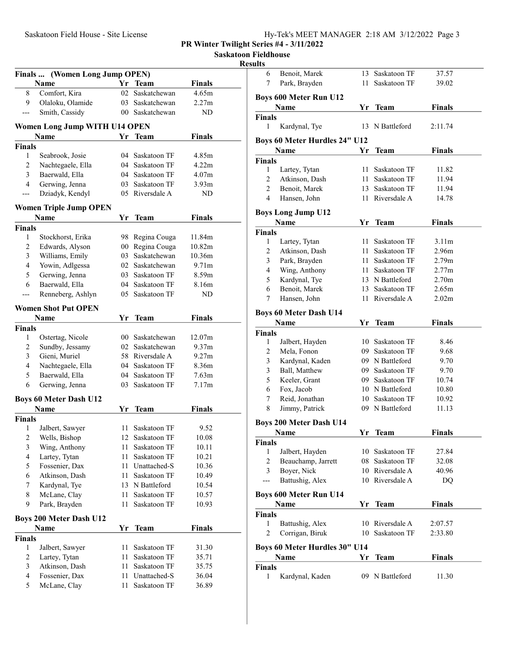Saskatoon Fieldhouse

## Results

| Finals                  | (Women Long Jump OPEN)                       |      |                              |                   |  |
|-------------------------|----------------------------------------------|------|------------------------------|-------------------|--|
|                         | Name                                         |      | Yr Team                      | <b>Finals</b>     |  |
| 8                       | Comfort, Kira                                | 02   | Saskatchewan                 | 4.65m             |  |
| 9                       | Olaloku, Olamide                             |      | 03 Saskatchewan              | 2.27m             |  |
| ---                     | Smith, Cassidy                               |      | 00 Saskatchewan              | ND                |  |
|                         |                                              |      |                              |                   |  |
|                         | Women Long Jump WITH U14 OPEN<br>Name        | Yr   | <b>Team</b>                  | <b>Finals</b>     |  |
| <b>Finals</b>           |                                              |      |                              |                   |  |
| 1                       | Seabrook, Josie                              |      | 04 Saskatoon TF              | 4.85m             |  |
| 2                       | Nachtegaele, Ella                            |      | 04 Saskatoon TF              | 4.22m             |  |
| 3                       | Baerwald, Ella                               |      | 04 Saskatoon TF              | 4.07 <sub>m</sub> |  |
| 4                       | Gerwing, Jenna                               |      | 03 Saskatoon TF              | 3.93 <sub>m</sub> |  |
|                         | Dziadyk, Kendyl                              |      | 05 Riversdale A              | ND                |  |
|                         |                                              |      |                              |                   |  |
|                         | <b>Women Triple Jump OPEN</b>                |      |                              |                   |  |
|                         | Name                                         | Yr   | Team                         | <b>Finals</b>     |  |
| <b>Finals</b>           |                                              |      |                              |                   |  |
| 1                       | Stockhorst, Erika                            |      | 98 Regina Couga              | 11.84m            |  |
| $\overline{c}$          | Edwards, Alyson                              |      | 00 Regina Couga              | 10.82m            |  |
| 3                       | Williams, Emily                              |      | 03 Saskatchewan              | 10.36m            |  |
| 4                       | Yowin, Adlgessa                              |      | 02 Saskatchewan              | 9.71 <sub>m</sub> |  |
| 5                       | Gerwing, Jenna                               |      | 03 Saskatoon TF              | 8.59m             |  |
| 6                       | Baerwald, Ella                               |      | 04 Saskatoon TF              | 8.16m             |  |
|                         | Renneberg, Ashlyn                            | 05   | Saskatoon TF                 | ND                |  |
|                         | <b>Women Shot Put OPEN</b>                   |      |                              |                   |  |
|                         | Name                                         | Yr   | <b>Team</b>                  | <b>Finals</b>     |  |
| Finals                  |                                              |      |                              |                   |  |
| 1                       | Ostertag, Nicole                             |      | 00 Saskatchewan              | 12.07m            |  |
| 2                       | Sundby, Jessamy                              |      | 02 Saskatchewan              | 9.37m             |  |
| 3                       | Gieni, Muriel                                |      | 58 Riversdale A              | 9.27m             |  |
| 4                       | Nachtegaele, Ella                            |      | 04 Saskatoon TF              | 8.36m             |  |
| 5                       | Baerwald, Ella                               |      | 04 Saskatoon TF              | 7.63m             |  |
| 6                       | Gerwing, Jenna                               | 03   | Saskatoon TF                 | 7.17m             |  |
|                         |                                              |      |                              |                   |  |
|                         | <b>Boys 60 Meter Dash U12</b><br><b>Name</b> | Yr   | <b>Team</b>                  | <b>Finals</b>     |  |
| Finals                  |                                              |      |                              |                   |  |
| 1                       | Jalbert, Sawyer                              | 11 - | Saskatoon TF                 | 9.52              |  |
|                         | Wells, Bishop                                | 12   |                              | 10.08             |  |
| 2<br>$\mathfrak{Z}$     | Wing, Anthony                                | 11   | Saskatoon TF<br>Saskatoon TF | 10.11             |  |
| $\overline{\mathbf{4}}$ | Lartey, Tytan                                | 11   | Saskatoon TF                 | 10.21             |  |
|                         |                                              |      |                              |                   |  |
| 5                       | Fossenier, Dax                               | 11 - | Unattached-S                 | 10.36             |  |
| 6                       | Atkinson, Dash                               | 11   | Saskatoon TF                 | 10.49             |  |
| 7                       | Kardynal, Tye                                |      | 13 N Battleford              | 10.54             |  |
| 8                       | McLane, Clay                                 | 11   | Saskatoon TF                 | 10.57             |  |
| 9                       | Park, Brayden                                | 11   | Saskatoon TF                 | 10.93             |  |
|                         | <b>Boys 200 Meter Dash U12</b>               |      |                              |                   |  |
|                         | Name                                         | Yr   | <b>Team</b>                  | <b>Finals</b>     |  |
| <b>Finals</b>           |                                              |      |                              |                   |  |
| 1                       | Jalbert, Sawyer                              | 11   | Saskatoon TF                 | 31.30             |  |
| 2                       | Lartey, Tytan                                | 11   | Saskatoon TF                 | 35.71             |  |
| 3                       | Atkinson, Dash                               | 11   | Saskatoon TF                 | 35.75             |  |
| $\overline{4}$          | Fossenier, Dax                               | 11   | Unattached-S                 | 36.04             |  |
| 5                       | McLane, Clay                                 | 11   | Saskatoon TF                 | 36.89             |  |
|                         |                                              |      |                              |                   |  |

| 6                  | Benoit, Marek                         | 13   | Saskatoon TF    | 37.57             |  |
|--------------------|---------------------------------------|------|-----------------|-------------------|--|
| 7                  | Park, Brayden                         | 11 - | Saskatoon TF    | 39.02             |  |
|                    | <b>Boys 600 Meter Run U12</b>         |      |                 |                   |  |
|                    | Name                                  | Yr   | Team            | <b>Finals</b>     |  |
| Finals             |                                       |      |                 |                   |  |
| 1                  | Kardynal, Tye                         | 13   | N Battleford    | 2:11.74           |  |
|                    |                                       |      |                 |                   |  |
|                    | Boys 60 Meter Hurdles 24" U12         |      |                 |                   |  |
|                    | Name                                  | Yr   | <b>Team</b>     | <b>Finals</b>     |  |
| <b>Finals</b>      |                                       |      |                 |                   |  |
| 1                  | Lartey, Tytan                         | 11   | Saskatoon TF    | 11.82             |  |
| 2                  | Atkinson, Dash                        |      | 11 Saskatoon TF | 11.94             |  |
| 2                  | Benoit, Marek                         | 13   | Saskatoon TF    | 11.94             |  |
| 4                  | Hansen, John                          | 11   | Riversdale A    | 14.78             |  |
|                    | <b>Boys Long Jump U12</b>             |      |                 |                   |  |
|                    | <b>Name</b>                           | Yr   | <b>Team</b>     | <b>Finals</b>     |  |
| <b>Finals</b>      |                                       |      |                 |                   |  |
| 1                  | Lartey, Tytan                         |      | 11 Saskatoon TF | 3.11 <sub>m</sub> |  |
| 2                  | Atkinson, Dash                        | 11   | Saskatoon TF    | 2.96m             |  |
| 3                  | Park, Brayden                         |      | 11 Saskatoon TF | 2.79m             |  |
| 4                  | Wing, Anthony                         |      | 11 Saskatoon TF | 2.77m             |  |
| 5                  | Kardynal, Tye                         |      | 13 N Battleford | 2.70 <sub>m</sub> |  |
| 6                  | Benoit, Marek                         | 13   | Saskatoon TF    | 2.65m             |  |
| 7                  | Hansen, John                          | 11   | Riversdale A    | 2.02 <sub>m</sub> |  |
|                    |                                       |      |                 |                   |  |
|                    | <b>Boys 60 Meter Dash U14</b><br>Name | Yr.  | Team            | <b>Finals</b>     |  |
| <b>Finals</b>      |                                       |      |                 |                   |  |
| 1                  | Jalbert, Hayden                       |      | 10 Saskatoon TF | 8.46              |  |
| 2                  | Mela, Fonon                           |      | 09 Saskatoon TF | 9.68              |  |
| 3                  | Kardynal, Kaden                       |      | 09 N Battleford | 9.70              |  |
| 3                  | Ball, Matthew                         |      | 09 Saskatoon TF | 9.70              |  |
| 5                  | Keeler, Grant                         |      | 09 Saskatoon TF | 10.74             |  |
| 6                  | Fox. Jacob                            |      | 10 N Battleford | 10.80             |  |
| 7                  | Reid, Jonathan                        |      | 10 Saskatoon TF | 10.92             |  |
| 8                  | Jimmy, Patrick                        |      | 09 N Battleford | 11.13             |  |
|                    |                                       |      |                 |                   |  |
|                    | <b>Boys 200 Meter Dash U14</b>        |      |                 |                   |  |
|                    | Name                                  | Yr   | <b>Team</b>     | <b>Finals</b>     |  |
| <b>Finals</b>      |                                       |      |                 |                   |  |
| 1                  | Jalbert, Hayden                       |      | 10 Saskatoon TF | 27.84             |  |
| 2                  | Beauchamp, Jarrett                    |      | 08 Saskatoon TF | 32.08             |  |
| 3                  | Boyer, Nick                           |      | 10 Riversdale A | 40.96             |  |
| ---                | Battushig, Alex                       |      | 10 Riversdale A | DQ                |  |
|                    | <b>Boys 600 Meter Run U14</b>         |      |                 |                   |  |
|                    | Name                                  | Yr   | Team            | <b>Finals</b>     |  |
| <b>Finals</b>      |                                       |      |                 |                   |  |
| 1                  | Battushig, Alex                       |      | 10 Riversdale A | 2:07.57           |  |
| 2                  | Corrigan, Biruk                       |      | 10 Saskatoon TF | 2:33.80           |  |
|                    |                                       |      |                 |                   |  |
|                    | Boys 60 Meter Hurdles 30" U14         |      |                 |                   |  |
|                    | Name                                  | Yr   | Team            | <b>Finals</b>     |  |
| <b>Finals</b><br>1 |                                       |      | 09 N Battleford |                   |  |
|                    | Kardynal, Kaden                       |      |                 | 11.30             |  |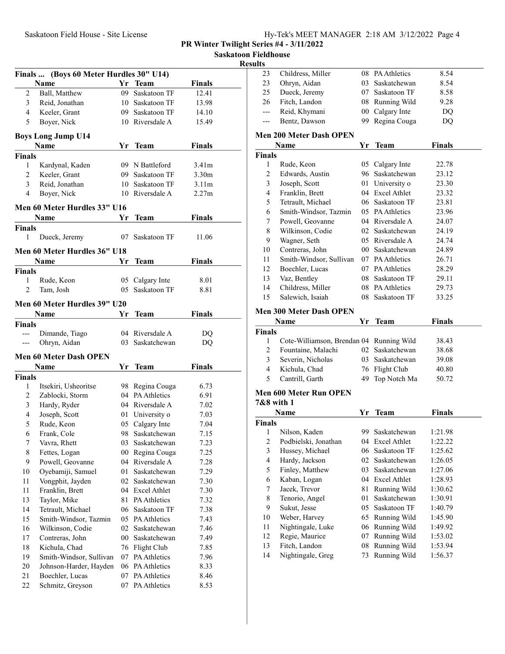|  | Hy-Tek's MEET MANAGER 2:18 AM 3/12/2022 Page 4 |  |  |  |  |
|--|------------------------------------------------|--|--|--|--|
|--|------------------------------------------------|--|--|--|--|

Saskatoon Fieldhouse

Resul

|                | Finals  (Boys 60 Meter Hurdles 30" U14)  |                 |                                 |               |  |
|----------------|------------------------------------------|-----------------|---------------------------------|---------------|--|
|                | Name                                     |                 | Yr Team                         | <b>Finals</b> |  |
| $\overline{c}$ | Ball, Matthew                            | 09              | Saskatoon TF                    | 12.41         |  |
| 3              | Reid, Jonathan                           |                 | 10 Saskatoon TF                 | 13.98         |  |
| 4              | Keeler, Grant                            |                 | 09 Saskatoon TF                 | 14.10         |  |
| 5              | Boyer, Nick                              |                 | 10 Riversdale A                 | 15.49         |  |
|                |                                          |                 |                                 |               |  |
|                | <b>Boys Long Jump U14</b>                |                 |                                 |               |  |
|                | Name                                     |                 | Yr Team                         | Finals        |  |
| Finals         |                                          |                 |                                 |               |  |
| 1              | Kardynal, Kaden                          |                 | 09 N Battleford                 | 3.41m         |  |
| $\overline{2}$ | Keeler, Grant                            |                 | 09 Saskatoon TF                 | 3.30m         |  |
| 3              | Reid, Jonathan                           |                 | 10 Saskatoon TF                 | 3.11m         |  |
| 4              | Boyer, Nick                              |                 | 10 Riversdale A                 | 2.27m         |  |
|                | Men 60 Meter Hurdles 33" U16             |                 |                                 |               |  |
|                | <b>Name</b>                              | Yr              | <b>Team</b>                     | Finals        |  |
| <b>Finals</b>  |                                          |                 |                                 |               |  |
| 1              | Dueck, Jeremy                            | 07              | Saskatoon TF                    | 11.06         |  |
|                | Men 60 Meter Hurdles 36" U18             |                 |                                 |               |  |
|                | Name                                     | Yr.             | <b>Team</b>                     | Finals        |  |
| Finals         |                                          |                 |                                 |               |  |
| 1              | Rude, Keon                               | 05              | Calgary Inte                    | 8.01          |  |
| 2              | Tam, Josh                                | 05              | Saskatoon TF                    | 8.81          |  |
|                |                                          |                 |                                 |               |  |
|                | Men 60 Meter Hurdles 39" U20             |                 |                                 |               |  |
|                | Name                                     | Yr              | Team                            | Finals        |  |
| Finals         |                                          |                 |                                 |               |  |
| $---$          | Dimande, Tiago                           |                 | 04 Riversdale A                 | DQ            |  |
|                | Ohryn, Aidan                             |                 | 03 Saskatchewan                 | DQ            |  |
|                | <b>Men 60 Meter Dash OPEN</b>            |                 |                                 |               |  |
|                | Name                                     | Yr              | Team                            | Finals        |  |
| <b>Finals</b>  |                                          |                 |                                 |               |  |
| 1              | Itsekiri, Usheoritse                     |                 | 98 Regina Couga                 | 6.73          |  |
| $\overline{c}$ | Zablocki, Storm                          |                 | 04 PA Athletics                 | 6.91          |  |
| 3              | Hardy, Ryder                             |                 | 04 Riversdale A                 | 7.02          |  |
| 4              | Joseph, Scott                            | 01              | University o                    | 7.03          |  |
| 5              | Rude, Keon                               | 05              | Calgary Inte                    | 7.04          |  |
| 6              | Frank, Cole                              | 98              | Saskatchewan                    | 7.15          |  |
| 7              | Vavra, Rhett                             | 03              | Saskatchewan                    | 7.23          |  |
| $\,$ 8 $\,$    | Fettes, Logan                            | $00\,$          | Regina Couga                    | 7.25          |  |
| 9              | Powell, Geovanne                         | 04              | Riversdale A                    | 7.28          |  |
| 10             | Oyebamiji, Samuel                        | 01              | Saskatchewan                    | 7.29          |  |
| 11             | Vongphit, Jayden                         | 02              | Saskatchewan                    | 7.30          |  |
| 11             | Franklin, Brett                          |                 | 04 Excel Athlet                 | 7.30          |  |
| 13             | Taylor, Mike                             | 81              | PA Athletics                    | 7.32          |  |
| 14             | Tetrault, Michael                        | 06              | Saskatoon TF                    | 7.38          |  |
| 15             | Smith-Windsor, Tazmin                    |                 | 05 PA Athletics<br>Saskatchewan | 7.43          |  |
| 16             | Wilkinson, Codie                         | 02              | Saskatchewan                    | 7.46          |  |
| 17             | Contreras, John                          | 00 <sup>1</sup> | Flight Club                     | 7.49          |  |
| 18<br>19       | Kichula, Chad<br>Smith-Windsor, Sullivan | 76<br>07        | PA Athletics                    | 7.85<br>7.96  |  |
| 20             | Johnson-Harder, Hayden                   |                 | 06 PA Athletics                 | 8.33          |  |
| 21             | Boechler, Lucas                          | 07              | PA Athletics                    | 8.46          |  |
| 22             | Schmitz, Greyson                         | 07              | PA Athletics                    | 8.53          |  |
|                |                                          |                 |                                 |               |  |

| Childress, Miller                  |                                                                                                                                                                                                                                                                                                                                                                                       |                                    |                                                                                                                                                                                                                                                                                                                                                                                                                                      |                                                                                                                                                       |
|------------------------------------|---------------------------------------------------------------------------------------------------------------------------------------------------------------------------------------------------------------------------------------------------------------------------------------------------------------------------------------------------------------------------------------|------------------------------------|--------------------------------------------------------------------------------------------------------------------------------------------------------------------------------------------------------------------------------------------------------------------------------------------------------------------------------------------------------------------------------------------------------------------------------------|-------------------------------------------------------------------------------------------------------------------------------------------------------|
|                                    |                                                                                                                                                                                                                                                                                                                                                                                       | 08 PA Athletics                    | 8.54                                                                                                                                                                                                                                                                                                                                                                                                                                 |                                                                                                                                                       |
| Ohryn, Aidan                       |                                                                                                                                                                                                                                                                                                                                                                                       | 03 Saskatchewan                    | 8.54                                                                                                                                                                                                                                                                                                                                                                                                                                 |                                                                                                                                                       |
| Dueck, Jeremy                      |                                                                                                                                                                                                                                                                                                                                                                                       | 07 Saskatoon TF                    | 8.58                                                                                                                                                                                                                                                                                                                                                                                                                                 |                                                                                                                                                       |
| Fitch, Landon                      |                                                                                                                                                                                                                                                                                                                                                                                       | 08 Running Wild                    | 9.28                                                                                                                                                                                                                                                                                                                                                                                                                                 |                                                                                                                                                       |
| Reid, Khymani                      | 00 <sup>1</sup>                                                                                                                                                                                                                                                                                                                                                                       | Calgary Inte                       | DQ                                                                                                                                                                                                                                                                                                                                                                                                                                   |                                                                                                                                                       |
| Bentz, Dawson                      | 99.                                                                                                                                                                                                                                                                                                                                                                                   | Regina Couga                       | DQ                                                                                                                                                                                                                                                                                                                                                                                                                                   |                                                                                                                                                       |
|                                    |                                                                                                                                                                                                                                                                                                                                                                                       |                                    |                                                                                                                                                                                                                                                                                                                                                                                                                                      |                                                                                                                                                       |
|                                    |                                                                                                                                                                                                                                                                                                                                                                                       |                                    |                                                                                                                                                                                                                                                                                                                                                                                                                                      |                                                                                                                                                       |
|                                    |                                                                                                                                                                                                                                                                                                                                                                                       |                                    |                                                                                                                                                                                                                                                                                                                                                                                                                                      |                                                                                                                                                       |
|                                    |                                                                                                                                                                                                                                                                                                                                                                                       |                                    |                                                                                                                                                                                                                                                                                                                                                                                                                                      |                                                                                                                                                       |
|                                    |                                                                                                                                                                                                                                                                                                                                                                                       |                                    |                                                                                                                                                                                                                                                                                                                                                                                                                                      |                                                                                                                                                       |
|                                    |                                                                                                                                                                                                                                                                                                                                                                                       |                                    |                                                                                                                                                                                                                                                                                                                                                                                                                                      |                                                                                                                                                       |
|                                    |                                                                                                                                                                                                                                                                                                                                                                                       |                                    |                                                                                                                                                                                                                                                                                                                                                                                                                                      |                                                                                                                                                       |
|                                    |                                                                                                                                                                                                                                                                                                                                                                                       |                                    |                                                                                                                                                                                                                                                                                                                                                                                                                                      |                                                                                                                                                       |
|                                    |                                                                                                                                                                                                                                                                                                                                                                                       |                                    |                                                                                                                                                                                                                                                                                                                                                                                                                                      |                                                                                                                                                       |
|                                    |                                                                                                                                                                                                                                                                                                                                                                                       |                                    |                                                                                                                                                                                                                                                                                                                                                                                                                                      |                                                                                                                                                       |
|                                    |                                                                                                                                                                                                                                                                                                                                                                                       |                                    |                                                                                                                                                                                                                                                                                                                                                                                                                                      |                                                                                                                                                       |
|                                    |                                                                                                                                                                                                                                                                                                                                                                                       |                                    |                                                                                                                                                                                                                                                                                                                                                                                                                                      |                                                                                                                                                       |
|                                    |                                                                                                                                                                                                                                                                                                                                                                                       |                                    |                                                                                                                                                                                                                                                                                                                                                                                                                                      |                                                                                                                                                       |
| Contreras, John                    |                                                                                                                                                                                                                                                                                                                                                                                       |                                    | 24.89                                                                                                                                                                                                                                                                                                                                                                                                                                |                                                                                                                                                       |
|                                    |                                                                                                                                                                                                                                                                                                                                                                                       |                                    | 26.71                                                                                                                                                                                                                                                                                                                                                                                                                                |                                                                                                                                                       |
| Boechler, Lucas                    |                                                                                                                                                                                                                                                                                                                                                                                       |                                    | 28.29                                                                                                                                                                                                                                                                                                                                                                                                                                |                                                                                                                                                       |
|                                    |                                                                                                                                                                                                                                                                                                                                                                                       |                                    | 29.11                                                                                                                                                                                                                                                                                                                                                                                                                                |                                                                                                                                                       |
| Childress, Miller                  |                                                                                                                                                                                                                                                                                                                                                                                       |                                    | 29.73                                                                                                                                                                                                                                                                                                                                                                                                                                |                                                                                                                                                       |
| Salewich, Isaiah                   |                                                                                                                                                                                                                                                                                                                                                                                       |                                    | 33.25                                                                                                                                                                                                                                                                                                                                                                                                                                |                                                                                                                                                       |
|                                    |                                                                                                                                                                                                                                                                                                                                                                                       |                                    |                                                                                                                                                                                                                                                                                                                                                                                                                                      |                                                                                                                                                       |
|                                    |                                                                                                                                                                                                                                                                                                                                                                                       |                                    |                                                                                                                                                                                                                                                                                                                                                                                                                                      |                                                                                                                                                       |
|                                    |                                                                                                                                                                                                                                                                                                                                                                                       |                                    |                                                                                                                                                                                                                                                                                                                                                                                                                                      |                                                                                                                                                       |
|                                    |                                                                                                                                                                                                                                                                                                                                                                                       |                                    |                                                                                                                                                                                                                                                                                                                                                                                                                                      |                                                                                                                                                       |
|                                    |                                                                                                                                                                                                                                                                                                                                                                                       |                                    |                                                                                                                                                                                                                                                                                                                                                                                                                                      |                                                                                                                                                       |
|                                    |                                                                                                                                                                                                                                                                                                                                                                                       |                                    |                                                                                                                                                                                                                                                                                                                                                                                                                                      |                                                                                                                                                       |
|                                    |                                                                                                                                                                                                                                                                                                                                                                                       |                                    |                                                                                                                                                                                                                                                                                                                                                                                                                                      |                                                                                                                                                       |
|                                    |                                                                                                                                                                                                                                                                                                                                                                                       |                                    |                                                                                                                                                                                                                                                                                                                                                                                                                                      |                                                                                                                                                       |
|                                    |                                                                                                                                                                                                                                                                                                                                                                                       |                                    |                                                                                                                                                                                                                                                                                                                                                                                                                                      |                                                                                                                                                       |
| <b>Men 600 Meter Run OPEN</b>      |                                                                                                                                                                                                                                                                                                                                                                                       |                                    |                                                                                                                                                                                                                                                                                                                                                                                                                                      |                                                                                                                                                       |
| 7&8 with 1                         |                                                                                                                                                                                                                                                                                                                                                                                       |                                    |                                                                                                                                                                                                                                                                                                                                                                                                                                      |                                                                                                                                                       |
|                                    |                                                                                                                                                                                                                                                                                                                                                                                       |                                    |                                                                                                                                                                                                                                                                                                                                                                                                                                      |                                                                                                                                                       |
| <b>Name</b>                        | Yr                                                                                                                                                                                                                                                                                                                                                                                    | <b>Team</b>                        | Finals                                                                                                                                                                                                                                                                                                                                                                                                                               |                                                                                                                                                       |
|                                    |                                                                                                                                                                                                                                                                                                                                                                                       |                                    |                                                                                                                                                                                                                                                                                                                                                                                                                                      |                                                                                                                                                       |
|                                    |                                                                                                                                                                                                                                                                                                                                                                                       |                                    |                                                                                                                                                                                                                                                                                                                                                                                                                                      |                                                                                                                                                       |
| 1 Nilson, Kaden                    |                                                                                                                                                                                                                                                                                                                                                                                       | 99 Saskatchewan<br>04 Excel Athlet | 1:21.98<br>1:22.22                                                                                                                                                                                                                                                                                                                                                                                                                   |                                                                                                                                                       |
| Podbielski, Jonathan               |                                                                                                                                                                                                                                                                                                                                                                                       | 06 Saskatoon TF                    | 1:25.62                                                                                                                                                                                                                                                                                                                                                                                                                              |                                                                                                                                                       |
| Hussey, Michael                    |                                                                                                                                                                                                                                                                                                                                                                                       |                                    |                                                                                                                                                                                                                                                                                                                                                                                                                                      |                                                                                                                                                       |
| Hardy, Jackson                     |                                                                                                                                                                                                                                                                                                                                                                                       | 02 Saskatchewan                    | 1:26.05                                                                                                                                                                                                                                                                                                                                                                                                                              |                                                                                                                                                       |
| Finley, Matthew                    | 03                                                                                                                                                                                                                                                                                                                                                                                    | Saskatchewan                       | 1:27.06                                                                                                                                                                                                                                                                                                                                                                                                                              |                                                                                                                                                       |
| Kaban, Logan                       |                                                                                                                                                                                                                                                                                                                                                                                       | 04 Excel Athlet                    | 1:28.93                                                                                                                                                                                                                                                                                                                                                                                                                              |                                                                                                                                                       |
| Jacek, Trevor                      | 81                                                                                                                                                                                                                                                                                                                                                                                    | Running Wild                       | 1:30.62                                                                                                                                                                                                                                                                                                                                                                                                                              |                                                                                                                                                       |
| Tenorio, Angel                     | 01                                                                                                                                                                                                                                                                                                                                                                                    | Saskatchewan                       | 1:30.91                                                                                                                                                                                                                                                                                                                                                                                                                              |                                                                                                                                                       |
| Sukut, Jesse                       | 05                                                                                                                                                                                                                                                                                                                                                                                    | Saskatoon TF                       | 1:40.79                                                                                                                                                                                                                                                                                                                                                                                                                              |                                                                                                                                                       |
| Weber, Harvey                      |                                                                                                                                                                                                                                                                                                                                                                                       | 65 Running Wild                    | 1:45.90                                                                                                                                                                                                                                                                                                                                                                                                                              |                                                                                                                                                       |
| Nightingale, Luke                  |                                                                                                                                                                                                                                                                                                                                                                                       | 06 Running Wild                    | 1:49.92                                                                                                                                                                                                                                                                                                                                                                                                                              |                                                                                                                                                       |
| Regie, Maurice                     | 07                                                                                                                                                                                                                                                                                                                                                                                    | Running Wild                       | 1:53.02                                                                                                                                                                                                                                                                                                                                                                                                                              |                                                                                                                                                       |
| Fitch, Landon<br>Nightingale, Greg | 08<br>73                                                                                                                                                                                                                                                                                                                                                                              | Running Wild<br>Running Wild       | 1:53.94<br>1:56.37                                                                                                                                                                                                                                                                                                                                                                                                                   |                                                                                                                                                       |
|                                    | <b>Men 200 Meter Dash OPEN</b><br>Name<br>Rude, Keon<br>Edwards, Austin<br>Joseph, Scott<br>Franklin, Brett<br>Tetrault, Michael<br>Smith-Windsor, Tazmin<br>Powell, Geovanne<br>Wilkinson, Codie<br>Wagner, Seth<br>Smith-Windsor, Sullivan<br>Vaz, Bentley<br><b>Men 300 Meter Dash OPEN</b><br>Name<br>Fountaine, Malachi<br>Severin, Nicholas<br>Kichula, Chad<br>Cantrill, Garth | Yr<br>Yr<br>49                     | Team<br>05 Calgary Inte<br>96 Saskatchewan<br>01 University o<br>04 Excel Athlet<br>06 Saskatoon TF<br>05 PA Athletics<br>04 Riversdale A<br>02 Saskatchewan<br>05 Riversdale A<br>00 Saskatchewan<br>07 PA Athletics<br>07 PA Athletics<br>08 Saskatoon TF<br>08 PA Athletics<br>08 Saskatoon TF<br><b>Team</b><br>Cote-Williamson, Brendan 04 Running Wild<br>02 Saskatchewan<br>03 Saskatchewan<br>76 Flight Club<br>Top Notch Ma | Finals<br>22.78<br>23.12<br>23.30<br>23.32<br>23.81<br>23.96<br>24.07<br>24.19<br>24.74<br><b>Finals</b><br>38.43<br>38.68<br>39.08<br>40.80<br>50.72 |